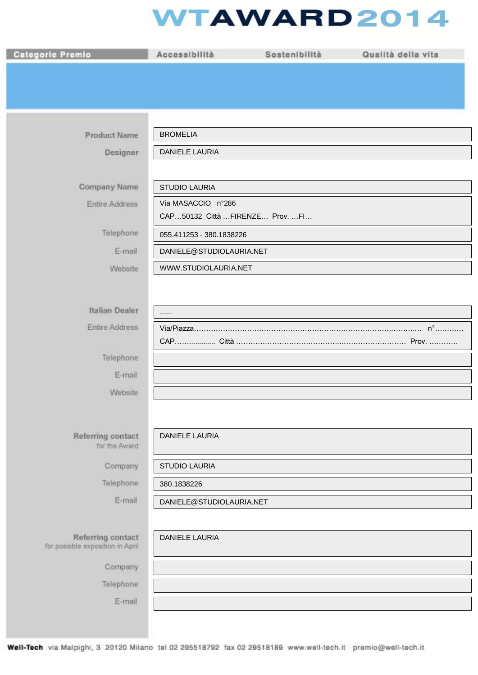## **WTAWARD2014**

| <b>Categorie Premio</b>                               | Accessibilità                   | Sostenibilità | Qualità della vita |
|-------------------------------------------------------|---------------------------------|---------------|--------------------|
|                                                       |                                 |               |                    |
|                                                       |                                 |               |                    |
|                                                       |                                 |               |                    |
| <b>Product Name</b>                                   | <b>BROMELIA</b>                 |               |                    |
| Designer                                              | <b>DANIELE LAURIA</b>           |               |                    |
|                                                       |                                 |               |                    |
| Company Name                                          | <b>STUDIO LAURIA</b>            |               |                    |
| Entire Address                                        | Via MASACCIO n°286              |               |                    |
|                                                       | CAP50132 Città FIRENZE Prov. FI |               |                    |
| Telephone:                                            | 055.411253 - 380.1838226        |               |                    |
| E-mail                                                | DANIELE@STUDIOLAURIA.NET        |               |                    |
| Website                                               | WWW.STUDIOLAURIA.NET            |               |                    |
|                                                       |                                 |               |                    |
| Italian Dealer                                        | -----                           |               |                    |
| Entire Address                                        |                                 |               |                    |
|                                                       |                                 |               |                    |
| Telephone                                             |                                 |               |                    |
| E-mail                                                |                                 |               |                    |
| Website                                               |                                 |               |                    |
|                                                       |                                 |               |                    |
| Referring contact                                     | <b>DANIELE LAURIA</b>           |               |                    |
| for the Award                                         |                                 |               |                    |
| Company                                               | <b>STUDIO LAURIA</b>            |               |                    |
| Telephone                                             | 380.1838226                     |               |                    |
| E-mail                                                | DANIELE@STUDIOLAURIA.NET        |               |                    |
|                                                       |                                 |               |                    |
| Referring contact<br>for possible exposition in April | <b>DANIELE LAURIA</b>           |               |                    |
| Company                                               |                                 |               |                    |
| Telephone:                                            |                                 |               |                    |
| E-mail                                                |                                 |               |                    |
|                                                       |                                 |               |                    |